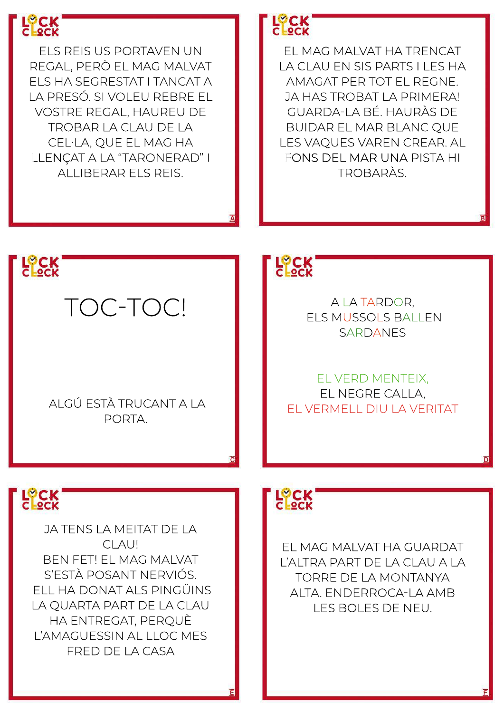

**JA TENS LA MEITAT DE LA** CLAU! **BEN FET! EL MAG MALVAT** S'ESTÀ POSANT NERVIÓS. ELL HA DONAT ALS PINGÜINS LA OUARTA PART DE LA CLAU HA ENTREGAT, PEROUÈ L'AMAGUESSIN AL LLOC MES FRED DE LA CASA

## **LOCK**<br>LOCK

EL MAG MALVAT HA GUARDAT L'ALTRA PART DE LA CLAU A LA TORRE DE LA MONTANYA ALTA, ENDERROCA-LA AMB LES BOLES DE NEU.